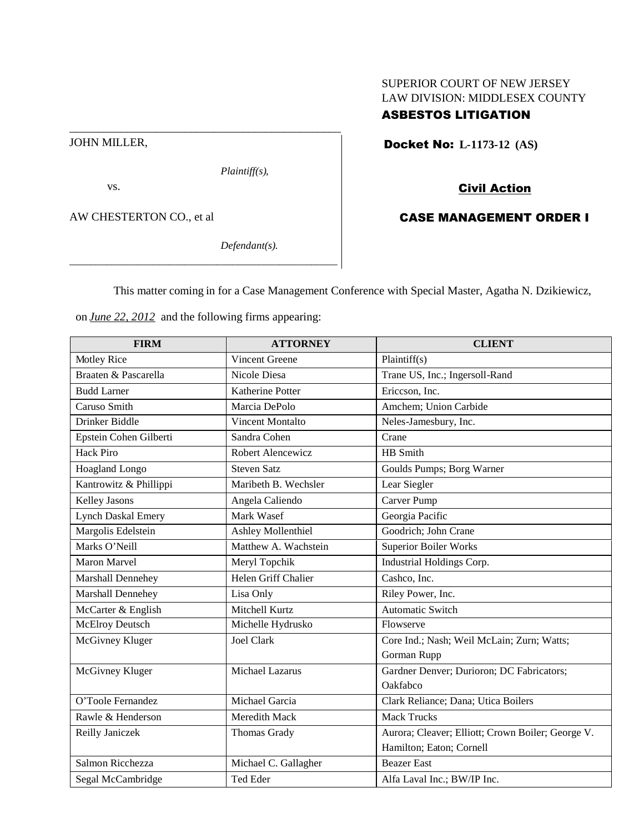## SUPERIOR COURT OF NEW JERSEY LAW DIVISION: MIDDLESEX COUNTY

# ASBESTOS LITIGATION

Docket No: **L-1173-12 (AS)**

# Civil Action

CASE MANAGEMENT ORDER I

## AW CHESTERTON CO., et al

*Defendant(s).*

*Plaintiff(s),*

This matter coming in for a Case Management Conference with Special Master, Agatha N. Dzikiewicz,

on *June 22, 2012* and the following firms appearing:

\_\_\_\_\_\_\_\_\_\_\_\_\_\_\_\_\_\_\_\_\_\_\_\_\_\_\_\_\_\_\_\_\_\_\_\_\_\_\_\_\_\_\_\_\_\_\_\_\_\_\_

\_\_\_\_\_\_\_\_\_\_\_\_\_\_\_\_\_\_\_\_\_\_\_\_\_\_\_\_\_\_\_\_\_\_\_\_\_\_\_\_\_\_\_\_\_\_\_

| <b>FIRM</b>               | <b>ATTORNEY</b>           | <b>CLIENT</b>                                     |
|---------------------------|---------------------------|---------------------------------------------------|
| Motley Rice               | <b>Vincent Greene</b>     | Plaintiff(s)                                      |
| Braaten & Pascarella      | Nicole Diesa              | Trane US, Inc.; Ingersoll-Rand                    |
| <b>Budd Larner</b>        | <b>Katherine Potter</b>   | Ericcson, Inc.                                    |
| Caruso Smith              | Marcia DePolo             | Amchem; Union Carbide                             |
| <b>Drinker Biddle</b>     | <b>Vincent Montalto</b>   | Neles-Jamesbury, Inc.                             |
| Epstein Cohen Gilberti    | Sandra Cohen              | Crane                                             |
| <b>Hack Piro</b>          | Robert Alencewicz         | HB Smith                                          |
| Hoagland Longo            | <b>Steven Satz</b>        | Goulds Pumps; Borg Warner                         |
| Kantrowitz & Phillippi    | Maribeth B. Wechsler      | Lear Siegler                                      |
| <b>Kelley Jasons</b>      | Angela Caliendo           | Carver Pump                                       |
| <b>Lynch Daskal Emery</b> | Mark Wasef                | Georgia Pacific                                   |
| Margolis Edelstein        | <b>Ashley Mollenthiel</b> | Goodrich; John Crane                              |
| Marks O'Neill             | Matthew A. Wachstein      | <b>Superior Boiler Works</b>                      |
| <b>Maron Marvel</b>       | Meryl Topchik             | Industrial Holdings Corp.                         |
| Marshall Dennehey         | Helen Griff Chalier       | Cashco, Inc.                                      |
| Marshall Dennehey         | Lisa Only                 | Riley Power, Inc.                                 |
| McCarter & English        | Mitchell Kurtz            | <b>Automatic Switch</b>                           |
| McElroy Deutsch           | Michelle Hydrusko         | Flowserve                                         |
| McGivney Kluger           | <b>Joel Clark</b>         | Core Ind.; Nash; Weil McLain; Zurn; Watts;        |
|                           |                           | Gorman Rupp                                       |
| McGivney Kluger           | Michael Lazarus           | Gardner Denver; Durioron; DC Fabricators;         |
|                           |                           | Oakfabco                                          |
| O'Toole Fernandez         | Michael Garcia            | Clark Reliance; Dana; Utica Boilers               |
| Rawle & Henderson         | Meredith Mack             | <b>Mack Trucks</b>                                |
| Reilly Janiczek           | Thomas Grady              | Aurora; Cleaver; Elliott; Crown Boiler; George V. |
|                           |                           | Hamilton; Eaton; Cornell                          |
| Salmon Ricchezza          | Michael C. Gallagher      | <b>Beazer East</b>                                |
| Segal McCambridge         | Ted Eder                  | Alfa Laval Inc.; BW/IP Inc.                       |

JOHN MILLER,

vs.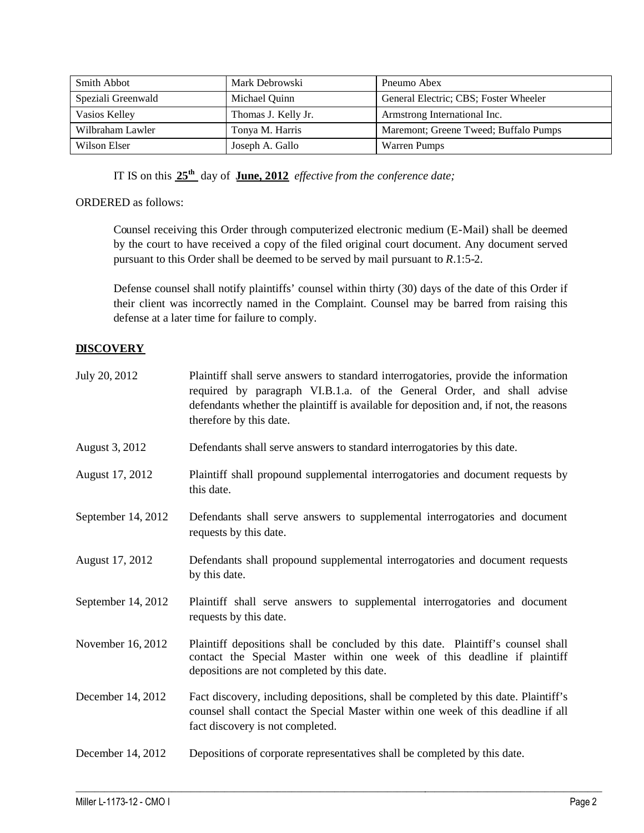| Smith Abbot        | Mark Debrowski      | Pneumo Abex                           |
|--------------------|---------------------|---------------------------------------|
| Speziali Greenwald | Michael Quinn       | General Electric; CBS; Foster Wheeler |
| Vasios Kelley      | Thomas J. Kelly Jr. | Armstrong International Inc.          |
| Wilbraham Lawler   | Tonya M. Harris     | Maremont; Greene Tweed; Buffalo Pumps |
| Wilson Elser       | Joseph A. Gallo     | Warren Pumps                          |

IT IS on this **25th** day of **June, 2012** *effective from the conference date;*

### ORDERED as follows:

Counsel receiving this Order through computerized electronic medium (E-Mail) shall be deemed by the court to have received a copy of the filed original court document. Any document served pursuant to this Order shall be deemed to be served by mail pursuant to *R*.1:5-2.

Defense counsel shall notify plaintiffs' counsel within thirty (30) days of the date of this Order if their client was incorrectly named in the Complaint. Counsel may be barred from raising this defense at a later time for failure to comply.

## **DISCOVERY**

| July 20, 2012      | Plaintiff shall serve answers to standard interrogatories, provide the information<br>required by paragraph VI.B.1.a. of the General Order, and shall advise<br>defendants whether the plaintiff is available for deposition and, if not, the reasons<br>therefore by this date. |
|--------------------|----------------------------------------------------------------------------------------------------------------------------------------------------------------------------------------------------------------------------------------------------------------------------------|
| August 3, 2012     | Defendants shall serve answers to standard interrogatories by this date.                                                                                                                                                                                                         |
| August 17, 2012    | Plaintiff shall propound supplemental interrogatories and document requests by<br>this date.                                                                                                                                                                                     |
| September 14, 2012 | Defendants shall serve answers to supplemental interrogatories and document<br>requests by this date.                                                                                                                                                                            |
| August 17, 2012    | Defendants shall propound supplemental interrogatories and document requests<br>by this date.                                                                                                                                                                                    |
| September 14, 2012 | Plaintiff shall serve answers to supplemental interrogatories and document<br>requests by this date.                                                                                                                                                                             |
| November 16, 2012  | Plaintiff depositions shall be concluded by this date. Plaintiff's counsel shall<br>contact the Special Master within one week of this deadline if plaintiff<br>depositions are not completed by this date.                                                                      |
| December 14, 2012  | Fact discovery, including depositions, shall be completed by this date. Plaintiff's<br>counsel shall contact the Special Master within one week of this deadline if all<br>fact discovery is not completed.                                                                      |
| December 14, 2012  | Depositions of corporate representatives shall be completed by this date.                                                                                                                                                                                                        |

 $\_$  ,  $\_$  ,  $\_$  ,  $\_$  ,  $\_$  ,  $\_$  ,  $\_$  ,  $\_$  ,  $\_$  ,  $\_$  ,  $\_$  ,  $\_$  ,  $\_$  ,  $\_$  ,  $\_$  ,  $\_$  ,  $\_$  ,  $\_$  ,  $\_$  ,  $\_$  ,  $\_$  ,  $\_$  ,  $\_$  ,  $\_$  ,  $\_$  ,  $\_$  ,  $\_$  ,  $\_$  ,  $\_$  ,  $\_$  ,  $\_$  ,  $\_$  ,  $\_$  ,  $\_$  ,  $\_$  ,  $\_$  ,  $\_$  ,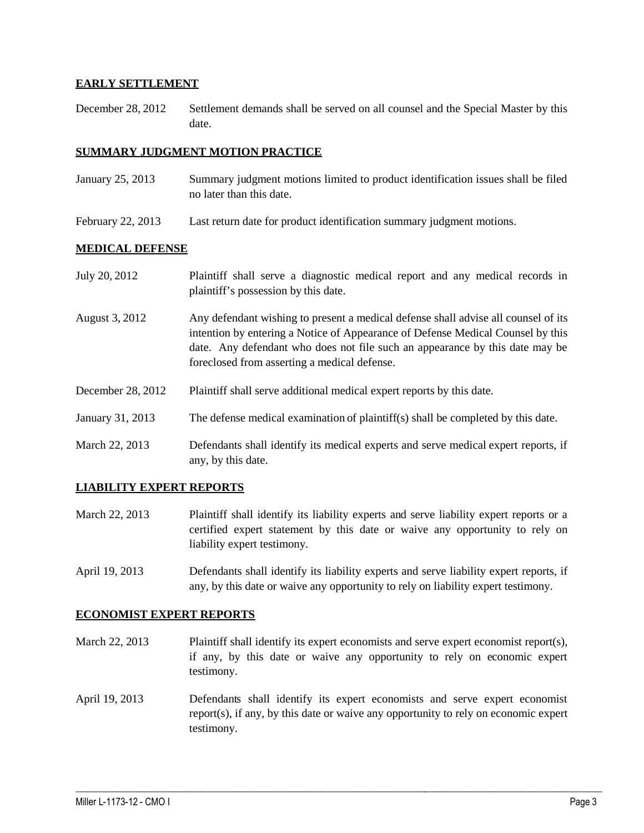### **EARLY SETTLEMENT**

December 28, 2012 Settlement demands shall be served on all counsel and the Special Master by this date.

#### **SUMMARY JUDGMENT MOTION PRACTICE**

- January 25, 2013 Summary judgment motions limited to product identification issues shall be filed no later than this date.
- February 22, 2013 Last return date for product identification summary judgment motions.

#### **MEDICAL DEFENSE**

| July 20, 2012     | Plaintiff shall serve a diagnostic medical report and any medical records in<br>plaintiff's possession by this date.                                                                                                                                                                                  |
|-------------------|-------------------------------------------------------------------------------------------------------------------------------------------------------------------------------------------------------------------------------------------------------------------------------------------------------|
| August 3, 2012    | Any defendant wishing to present a medical defense shall advise all counsel of its<br>intention by entering a Notice of Appearance of Defense Medical Counsel by this<br>date. Any defendant who does not file such an appearance by this date may be<br>foreclosed from asserting a medical defense. |
| December 28, 2012 | Plaintiff shall serve additional medical expert reports by this date.                                                                                                                                                                                                                                 |
| January 31, 2013  | The defense medical examination of plaintiff(s) shall be completed by this date.                                                                                                                                                                                                                      |
| March 22, 2013    | Defendants shall identify its medical experts and serve medical expert reports, if<br>any, by this date.                                                                                                                                                                                              |

#### **LIABILITY EXPERT REPORTS**

- March 22, 2013 Plaintiff shall identify its liability experts and serve liability expert reports or a certified expert statement by this date or waive any opportunity to rely on liability expert testimony.
- April 19, 2013 Defendants shall identify its liability experts and serve liability expert reports, if any, by this date or waive any opportunity to rely on liability expert testimony.

#### **ECONOMIST EXPERT REPORTS**

- March 22, 2013 Plaintiff shall identify its expert economists and serve expert economist report(s), if any, by this date or waive any opportunity to rely on economic expert testimony.
- April 19, 2013 Defendants shall identify its expert economists and serve expert economist report(s), if any, by this date or waive any opportunity to rely on economic expert testimony.

 $\_$  ,  $\_$  ,  $\_$  ,  $\_$  ,  $\_$  ,  $\_$  ,  $\_$  ,  $\_$  ,  $\_$  ,  $\_$  ,  $\_$  ,  $\_$  ,  $\_$  ,  $\_$  ,  $\_$  ,  $\_$  ,  $\_$  ,  $\_$  ,  $\_$  ,  $\_$  ,  $\_$  ,  $\_$  ,  $\_$  ,  $\_$  ,  $\_$  ,  $\_$  ,  $\_$  ,  $\_$  ,  $\_$  ,  $\_$  ,  $\_$  ,  $\_$  ,  $\_$  ,  $\_$  ,  $\_$  ,  $\_$  ,  $\_$  ,